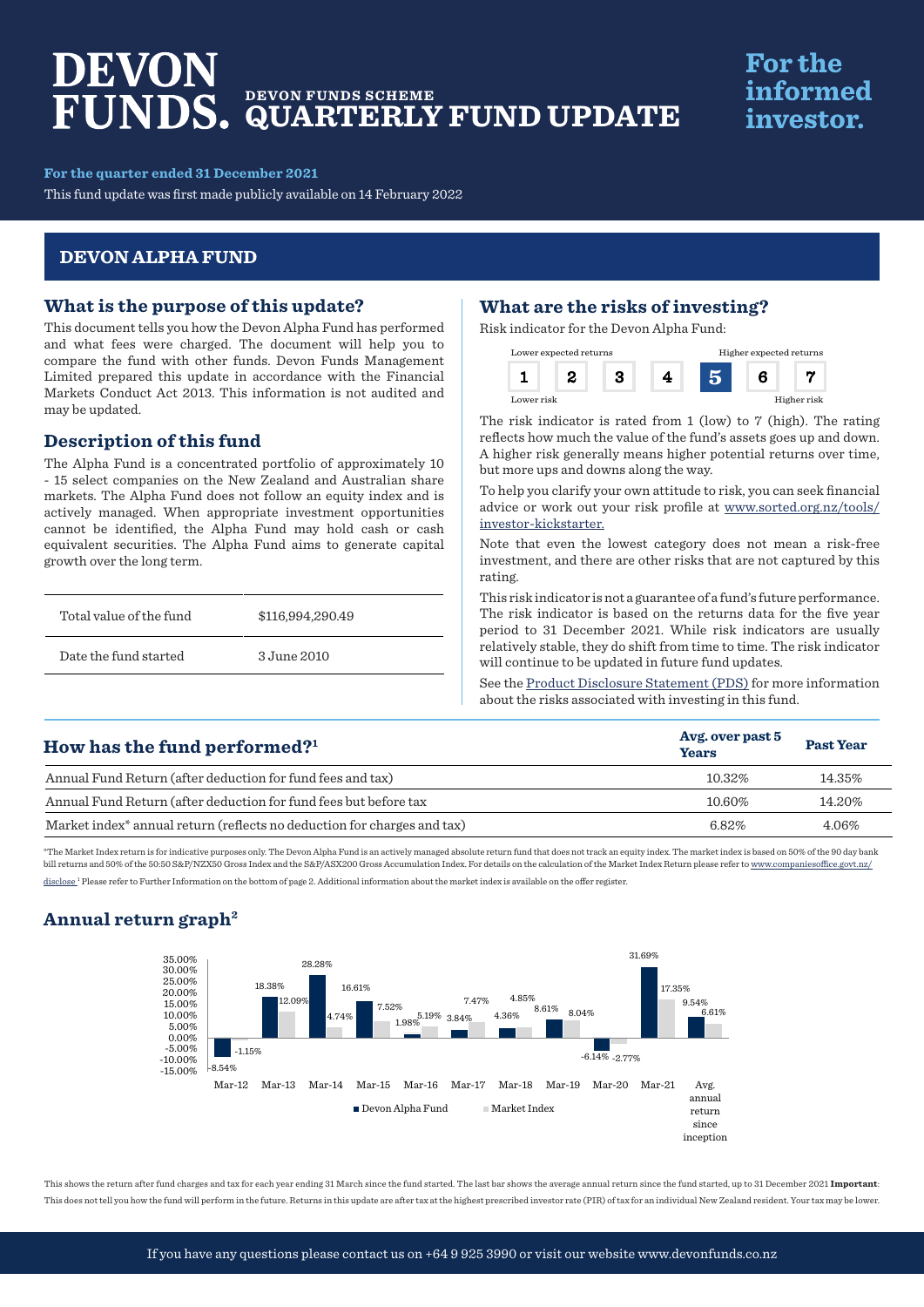# DEVON **DEVON FUNDS SCHEME QUARTERLY FUND UPDATE**

# **For the** informed investor.

**For the quarter ended 31 December 2021**

This fund update was first made publicly available on 14 February 2022

## **DEVON ALPHA FUND**

## **What is the purpose of this update?**

This document tells you how the Devon Alpha Fund has performed and what fees were charged. The document will help you to compare the fund with other funds. Devon Funds Management Limited prepared this update in accordance with the Financial Markets Conduct Act 2013. This information is not audited and may be updated.

## **Description of this fund**

The Alpha Fund is a concentrated portfolio of approximately 10 - 15 select companies on the New Zealand and Australian share markets. The Alpha Fund does not follow an equity index and is actively managed. When appropriate investment opportunities cannot be identified, the Alpha Fund may hold cash or cash equivalent securities. The Alpha Fund aims to generate capital growth over the long term.

| Total value of the fund | \$116,994,290.49 |
|-------------------------|------------------|
| Date the fund started   | 3 June 2010      |

## **What are the risks of investing?**

Risk indicator for the Devon Alpha Fund:



The risk indicator is rated from 1 (low) to 7 (high). The rating reflects how much the value of the fund's assets goes up and down. A higher risk generally means higher potential returns over time, but more ups and downs along the way.

To help you clarify your own attitude to risk, you can seek financial advice or work out your risk profile at [www.sorted.org.nz/tools/](http://www.sorted.org.nz/tools/investor-kickstarter) [investor-kickstarter.](http://www.sorted.org.nz/tools/investor-kickstarter)

Note that even the lowest category does not mean a risk-free investment, and there are other risks that are not captured by this rating.

This risk indicator is not a guarantee of a fund's future performance. The risk indicator is based on the returns data for the five year period to 31 December 2021. While risk indicators are usually relatively stable, they do shift from time to time. The risk indicator will continue to be updated in future fund updates.

See the [Product Disclosure Statement \(PDS\)](https://devonfunds.co.nz/sites/default/files/Devon%20Investment%20Funds%20Product%20Disclosure%20Statement.pdf) for more information about the risks associated with investing in this fund.

| How has the fund performed? $1$                                                     | Avg. over past 5<br><b>Years</b> | <b>Past Year</b> |
|-------------------------------------------------------------------------------------|----------------------------------|------------------|
| Annual Fund Return (after deduction for fund fees and tax)                          | 10.32%                           | 14.35%           |
| Annual Fund Return (after deduction for fund fees but before tax                    | 10.60%                           | 14.20%           |
| Market index <sup>*</sup> annual return (reflects no deduction for charges and tax) | 6.82%                            | 4.06%            |

\*The Market Index return is for indicative purposes only. The Devon Alpha Fund is an actively managed absolute return fund that does not track an equity index. The market index is based on 50% of the 90 day bank bill returns and 50% of the 50:50 S&P/NZX50 Gross Index and the S&P/ASX200 Gross Accumulation Index. For details on the calculation of the Market Index Return please refer to www.companiesoffice.govt.nz/ disclose<sup>1</sup> Please refer to Further Information on the bottom of page 2. Additional information about the market index is available on the offer register.

## **Annual return graph2**



This shows the return after fund charges and tax for each year ending 31 March since the fund started. The last bar shows the average annual return since the fund started, up to 31 December 2021 **Important**: This does not tell you how the fund will perform in the future. Returns in this update are after tax at the highest prescribed investor rate (PIR) of tax for an individual New Zealand resident. Your tax may be lower.